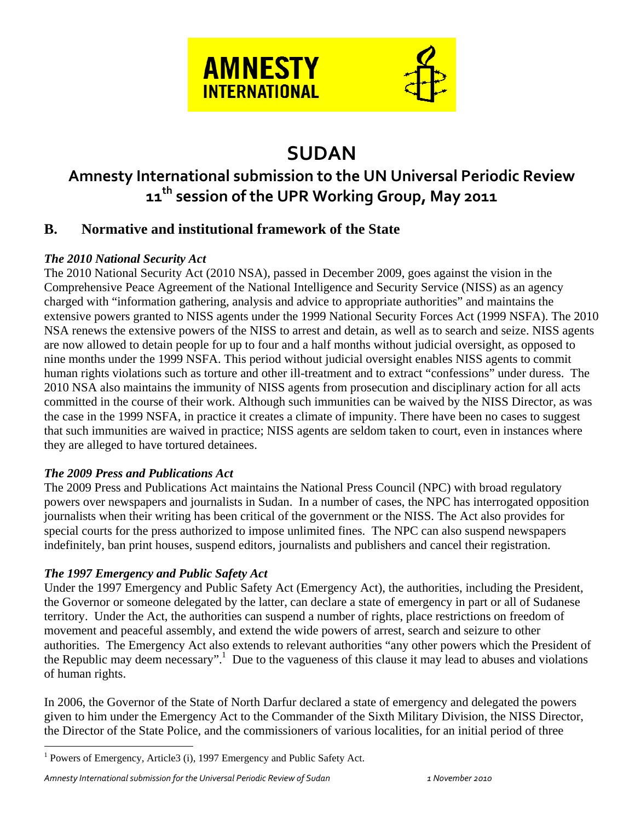



# **SUDAN**

## **Amnesty International submission to the UN Universal Periodic Review 11th session of the UPR Working Group, May 2011**

## **B. Normative and institutional framework of the State**

#### *The 2010 National Security Act*

The 2010 National Security Act (2010 NSA), passed in December 2009, goes against the vision in the Comprehensive Peace Agreement of the National Intelligence and Security Service (NISS) as an agency charged with "information gathering, analysis and advice to appropriate authorities" and maintains the extensive powers granted to NISS agents under the 1999 National Security Forces Act (1999 NSFA). The 2010 NSA renews the extensive powers of the NISS to arrest and detain, as well as to search and seize. NISS agents are now allowed to detain people for up to four and a half months without judicial oversight, as opposed to nine months under the 1999 NSFA. This period without judicial oversight enables NISS agents to commit human rights violations such as torture and other ill-treatment and to extract "confessions" under duress. The 2010 NSA also maintains the immunity of NISS agents from prosecution and disciplinary action for all acts committed in the course of their work. Although such immunities can be waived by the NISS Director, as was the case in the 1999 NSFA, in practice it creates a climate of impunity. There have been no cases to suggest that such immunities are waived in practice; NISS agents are seldom taken to court, even in instances where they are alleged to have tortured detainees.

#### *The 2009 Press and Publications Act*

The 2009 Press and Publications Act maintains the National Press Council (NPC) with broad regulatory powers over newspapers and journalists in Sudan. In a number of cases, the NPC has interrogated opposition journalists when their writing has been critical of the government or the NISS. The Act also provides for special courts for the press authorized to impose unlimited fines. The NPC can also suspend newspapers indefinitely, ban print houses, suspend editors, journalists and publishers and cancel their registration.

#### *The 1997 Emergency and Public Safety Act*

 $\overline{a}$ 

Under the 1997 Emergency and Public Safety Act (Emergency Act), the authorities, including the President, the Governor or someone delegated by the latter, can declare a state of emergency in part or all of Sudanese territory. Under the Act, the authorities can suspend a number of rights, place restrictions on freedom of movement and peaceful assembly, and extend the wide powers of arrest, search and seizure to other authorities. The Emergency Act also extends to relevant authorities "any other powers which the President of the Republic may deem necessary".<sup>1</sup> Due to the vagueness of this clause it may lead to abuses and violations of human rights.

In 2006, the Governor of the State of North Darfur declared a state of emergency and delegated the powers given to him under the Emergency Act to the Commander of the Sixth Military Division, the NISS Director, the Director of the State Police, and the commissioners of various localities, for an initial period of three

<sup>&</sup>lt;sup>1</sup> Powers of Emergency, Article3 (i), 1997 Emergency and Public Safety Act.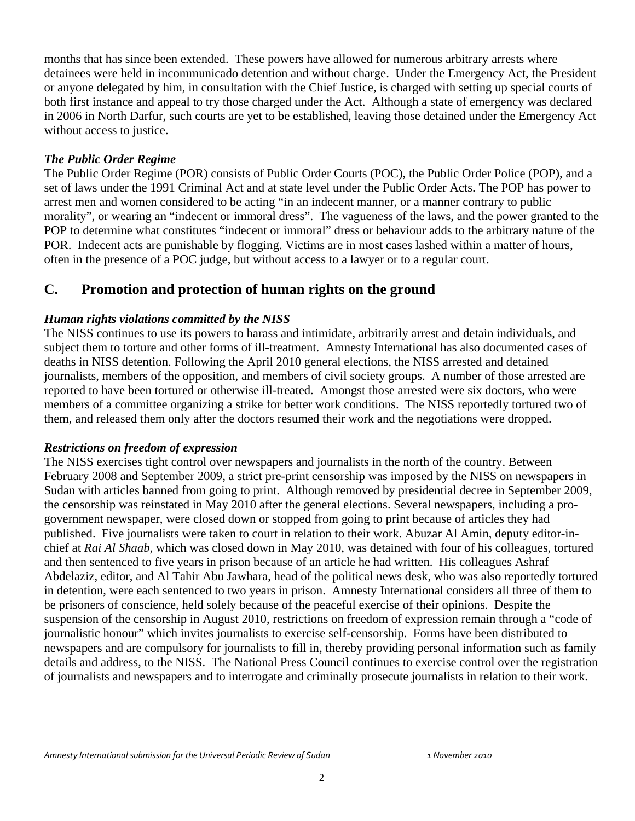months that has since been extended. These powers have allowed for numerous arbitrary arrests where detainees were held in incommunicado detention and without charge. Under the Emergency Act, the President or anyone delegated by him, in consultation with the Chief Justice, is charged with setting up special courts of both first instance and appeal to try those charged under the Act. Although a state of emergency was declared in 2006 in North Darfur, such courts are yet to be established, leaving those detained under the Emergency Act without access to justice.

#### *The Public Order Regime*

The Public Order Regime (POR) consists of Public Order Courts (POC), the Public Order Police (POP), and a set of laws under the 1991 Criminal Act and at state level under the Public Order Acts. The POP has power to arrest men and women considered to be acting "in an indecent manner, or a manner contrary to public morality", or wearing an "indecent or immoral dress". The vagueness of the laws, and the power granted to the POP to determine what constitutes "indecent or immoral" dress or behaviour adds to the arbitrary nature of the POR. Indecent acts are punishable by flogging. Victims are in most cases lashed within a matter of hours, often in the presence of a POC judge, but without access to a lawyer or to a regular court.

### **C. Promotion and protection of human rights on the ground**

#### *Human rights violations committed by the NISS*

The NISS continues to use its powers to harass and intimidate, arbitrarily arrest and detain individuals, and subject them to torture and other forms of ill-treatment. Amnesty International has also documented cases of deaths in NISS detention. Following the April 2010 general elections, the NISS arrested and detained journalists, members of the opposition, and members of civil society groups. A number of those arrested are reported to have been tortured or otherwise ill-treated. Amongst those arrested were six doctors, who were members of a committee organizing a strike for better work conditions. The NISS reportedly tortured two of them, and released them only after the doctors resumed their work and the negotiations were dropped.

#### *Restrictions on freedom of expression*

The NISS exercises tight control over newspapers and journalists in the north of the country. Between February 2008 and September 2009, a strict pre-print censorship was imposed by the NISS on newspapers in Sudan with articles banned from going to print. Although removed by presidential decree in September 2009, the censorship was reinstated in May 2010 after the general elections. Several newspapers, including a progovernment newspaper, were closed down or stopped from going to print because of articles they had published. Five journalists were taken to court in relation to their work. Abuzar Al Amin, deputy editor-inchief at *Rai Al Shaab,* which was closed down in May 2010, was detained with four of his colleagues, tortured and then sentenced to five years in prison because of an article he had written. His colleagues Ashraf Abdelaziz, editor, and Al Tahir Abu Jawhara, head of the political news desk, who was also reportedly tortured in detention, were each sentenced to two years in prison. Amnesty International considers all three of them to be prisoners of conscience, held solely because of the peaceful exercise of their opinions. Despite the suspension of the censorship in August 2010, restrictions on freedom of expression remain through a "code of journalistic honour" which invites journalists to exercise self-censorship. Forms have been distributed to newspapers and are compulsory for journalists to fill in, thereby providing personal information such as family details and address, to the NISS. The National Press Council continues to exercise control over the registration of journalists and newspapers and to interrogate and criminally prosecute journalists in relation to their work.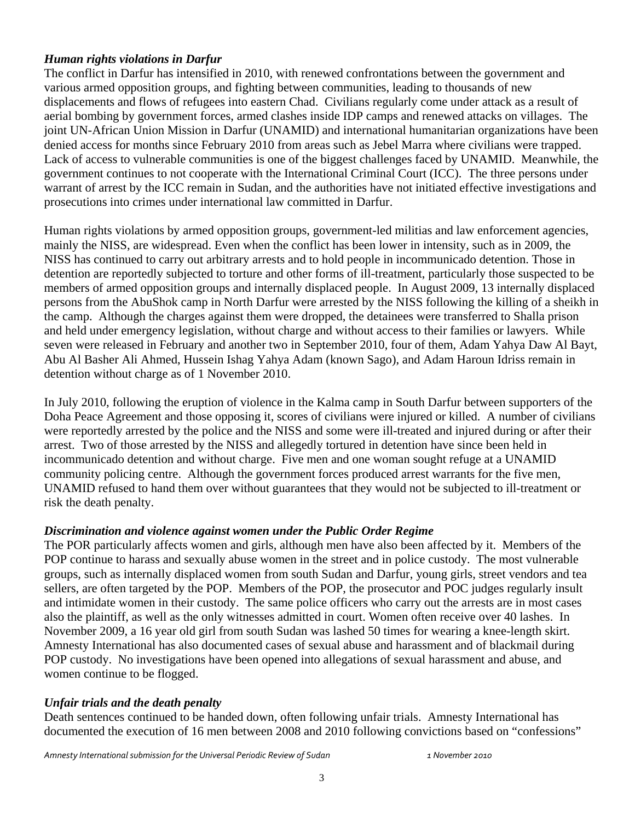#### *Human rights violations in Darfur*

The conflict in Darfur has intensified in 2010, with renewed confrontations between the government and various armed opposition groups, and fighting between communities, leading to thousands of new displacements and flows of refugees into eastern Chad. Civilians regularly come under attack as a result of aerial bombing by government forces, armed clashes inside IDP camps and renewed attacks on villages. The joint UN-African Union Mission in Darfur (UNAMID) and international humanitarian organizations have been denied access for months since February 2010 from areas such as Jebel Marra where civilians were trapped. Lack of access to vulnerable communities is one of the biggest challenges faced by UNAMID. Meanwhile, the government continues to not cooperate with the International Criminal Court (ICC). The three persons under warrant of arrest by the ICC remain in Sudan, and the authorities have not initiated effective investigations and prosecutions into crimes under international law committed in Darfur.

Human rights violations by armed opposition groups, government-led militias and law enforcement agencies, mainly the NISS, are widespread. Even when the conflict has been lower in intensity, such as in 2009, the NISS has continued to carry out arbitrary arrests and to hold people in incommunicado detention. Those in detention are reportedly subjected to torture and other forms of ill-treatment, particularly those suspected to be members of armed opposition groups and internally displaced people. In August 2009, 13 internally displaced persons from the AbuShok camp in North Darfur were arrested by the NISS following the killing of a sheikh in the camp. Although the charges against them were dropped, the detainees were transferred to Shalla prison and held under emergency legislation, without charge and without access to their families or lawyers. While seven were released in February and another two in September 2010, four of them, Adam Yahya Daw Al Bayt, Abu Al Basher Ali Ahmed, Hussein Ishag Yahya Adam (known Sago), and Adam Haroun Idriss remain in detention without charge as of 1 November 2010.

In July 2010, following the eruption of violence in the Kalma camp in South Darfur between supporters of the Doha Peace Agreement and those opposing it, scores of civilians were injured or killed. A number of civilians were reportedly arrested by the police and the NISS and some were ill-treated and injured during or after their arrest. Two of those arrested by the NISS and allegedly tortured in detention have since been held in incommunicado detention and without charge. Five men and one woman sought refuge at a UNAMID community policing centre. Although the government forces produced arrest warrants for the five men, UNAMID refused to hand them over without guarantees that they would not be subjected to ill-treatment or risk the death penalty.

#### *Discrimination and violence against women under the Public Order Regime*

The POR particularly affects women and girls, although men have also been affected by it. Members of the POP continue to harass and sexually abuse women in the street and in police custody. The most vulnerable groups, such as internally displaced women from south Sudan and Darfur, young girls, street vendors and tea sellers, are often targeted by the POP. Members of the POP, the prosecutor and POC judges regularly insult and intimidate women in their custody. The same police officers who carry out the arrests are in most cases also the plaintiff, as well as the only witnesses admitted in court. Women often receive over 40 lashes. In November 2009, a 16 year old girl from south Sudan was lashed 50 times for wearing a knee-length skirt. Amnesty International has also documented cases of sexual abuse and harassment and of blackmail during POP custody. No investigations have been opened into allegations of sexual harassment and abuse, and women continue to be flogged.

#### *Unfair trials and the death penalty*

Death sentences continued to be handed down, often following unfair trials. Amnesty International has documented the execution of 16 men between 2008 and 2010 following convictions based on "confessions"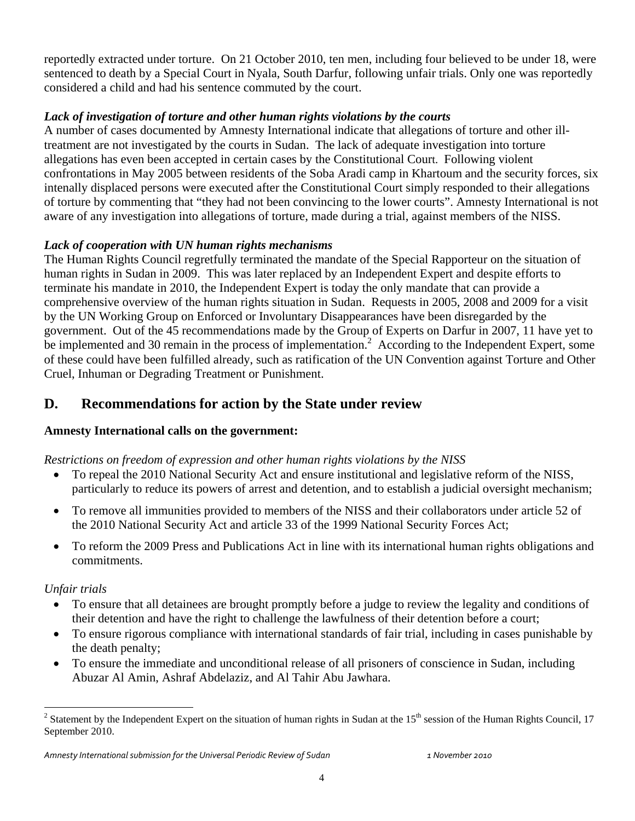reportedly extracted under torture. On 21 October 2010, ten men, including four believed to be under 18, were sentenced to death by a Special Court in Nyala, South Darfur, following unfair trials. Only one was reportedly considered a child and had his sentence commuted by the court.

#### *Lack of investigation of torture and other human rights violations by the courts*

A number of cases documented by Amnesty International indicate that allegations of torture and other illtreatment are not investigated by the courts in Sudan. The lack of adequate investigation into torture allegations has even been accepted in certain cases by the Constitutional Court. Following violent confrontations in May 2005 between residents of the Soba Aradi camp in Khartoum and the security forces, six intenally displaced persons were executed after the Constitutional Court simply responded to their allegations of torture by commenting that "they had not been convincing to the lower courts". Amnesty International is not aware of any investigation into allegations of torture, made during a trial, against members of the NISS.

#### *Lack of cooperation with UN human rights mechanisms*

The Human Rights Council regretfully terminated the mandate of the Special Rapporteur on the situation of human rights in Sudan in 2009. This was later replaced by an Independent Expert and despite efforts to terminate his mandate in 2010, the Independent Expert is today the only mandate that can provide a comprehensive overview of the human rights situation in Sudan. Requests in 2005, 2008 and 2009 for a visit by the UN Working Group on Enforced or Involuntary Disappearances have been disregarded by the government. Out of the 45 recommendations made by the Group of Experts on Darfur in 2007, 11 have yet to be implemented and 30 remain in the process of implementation.<sup>2</sup> According to the Independent Expert, some of these could have been fulfilled already, such as ratification of the UN Convention against Torture and Other Cruel, Inhuman or Degrading Treatment or Punishment.

## **D. Recommendations for action by the State under review**

#### **Amnesty International calls on the government:**

#### *Restrictions on freedom of expression and other human rights violations by the NISS*

- To repeal the 2010 National Security Act and ensure institutional and legislative reform of the NISS, particularly to reduce its powers of arrest and detention, and to establish a judicial oversight mechanism;
- To remove all immunities provided to members of the NISS and their collaborators under article 52 of the 2010 National Security Act and article 33 of the 1999 National Security Forces Act;
- To reform the 2009 Press and Publications Act in line with its international human rights obligations and commitments.

#### *Unfair trials*

- To ensure that all detainees are brought promptly before a judge to review the legality and conditions of their detention and have the right to challenge the lawfulness of their detention before a court;
- To ensure rigorous compliance with international standards of fair trial, including in cases punishable by the death penalty;
- To ensure the immediate and unconditional release of all prisoners of conscience in Sudan, including Abuzar Al Amin, Ashraf Abdelaziz, and Al Tahir Abu Jawhara.

<sup>&</sup>lt;sup>2</sup> Statement by the Independent Expert on the situation of human rights in Sudan at the 15<sup>th</sup> session of the Human Rights Council, 17 September 2010.